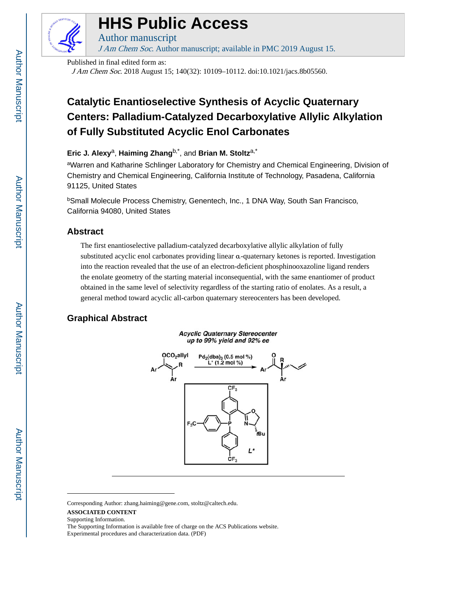

# **HHS Public Access**

Author manuscript J Am Chem Soc. Author manuscript; available in PMC 2019 August 15.

Published in final edited form as:

J Am Chem Soc. 2018 August 15; 140(32): 10109–10112. doi:10.1021/jacs.8b05560.

# **Catalytic Enantioselective Synthesis of Acyclic Quaternary Centers: Palladium-Catalyzed Decarboxylative Allylic Alkylation of Fully Substituted Acyclic Enol Carbonates**

### **Eric J. Alexy**a, **Haiming Zhang**b,\*, and **Brian M. Stoltz**a,\*

aWarren and Katharine Schlinger Laboratory for Chemistry and Chemical Engineering, Division of Chemistry and Chemical Engineering, California Institute of Technology, Pasadena, California 91125, United States

<sup>b</sup>Small Molecule Process Chemistry, Genentech, Inc., 1 DNA Way, South San Francisco, California 94080, United States

## **Abstract**

The first enantioselective palladium-catalyzed decarboxylative allylic alkylation of fully substituted acyclic enol carbonates providing linear α-quaternary ketones is reported. Investigation into the reaction revealed that the use of an electron-deficient phosphinooxazoline ligand renders the enolate geometry of the starting material inconsequential, with the same enantiomer of product obtained in the same level of selectivity regardless of the starting ratio of enolates. As a result, a general method toward acyclic all-carbon quaternary stereocenters has been developed.

# **Graphical Abstract**

**Acyclic Quaternary Stereocenter** up to 99% yield and 92% ee



Corresponding Author: zhang.haiming@gene.com, stoltz@caltech.edu.

#### **ASSOCIATED CONTENT**

Supporting Information.

The Supporting Information is available free of charge on the ACS Publications website. Experimental procedures and characterization data. (PDF)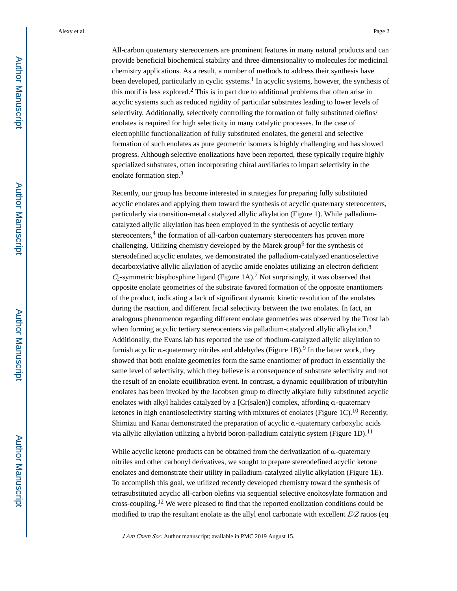All-carbon quaternary stereocenters are prominent features in many natural products and can provide beneficial biochemical stability and three-dimensionality to molecules for medicinal chemistry applications. As a result, a number of methods to address their synthesis have been developed, particularly in cyclic systems.<sup>1</sup> In acyclic systems, however, the synthesis of this motif is less explored.<sup>2</sup> This is in part due to additional problems that often arise in acyclic systems such as reduced rigidity of particular substrates leading to lower levels of selectivity. Additionally, selectively controlling the formation of fully substituted olefins/ enolates is required for high selectivity in many catalytic processes. In the case of electrophilic functionalization of fully substituted enolates, the general and selective formation of such enolates as pure geometric isomers is highly challenging and has slowed progress. Although selective enolizations have been reported, these typically require highly specialized substrates, often incorporating chiral auxiliaries to impart selectivity in the enolate formation step.<sup>3</sup>

Recently, our group has become interested in strategies for preparing fully substituted acyclic enolates and applying them toward the synthesis of acyclic quaternary stereocenters, particularly via transition-metal catalyzed allylic alkylation (Figure 1). While palladiumcatalyzed allylic alkylation has been employed in the synthesis of acyclic tertiary stereocenters,<sup>4</sup> the formation of all-carbon quaternary stereocenters has proven more challenging. Utilizing chemistry developed by the Marek group<sup>6</sup> for the synthesis of stereodefined acyclic enolates, we demonstrated the palladium-catalyzed enantioselective decarboxylative allylic alkylation of acyclic amide enolates utilizing an electron deficient  $C_2$ -symmetric bisphosphine ligand (Figure 1A).<sup>7</sup> Not surprisingly, it was observed that opposite enolate geometries of the substrate favored formation of the opposite enantiomers of the product, indicating a lack of significant dynamic kinetic resolution of the enolates during the reaction, and different facial selectivity between the two enolates. In fact, an analogous phenomenon regarding different enolate geometries was observed by the Trost lab when forming acyclic tertiary stereocenters via palladium-catalyzed allylic alkylation.<sup>8</sup> Additionally, the Evans lab has reported the use of rhodium-catalyzed allylic alkylation to furnish acyclic α-quaternary nitriles and aldehydes (Figure 1B).<sup>9</sup> In the latter work, they showed that both enolate geometries form the same enantiomer of product in essentially the same level of selectivity, which they believe is a consequence of substrate selectivity and not the result of an enolate equilibration event. In contrast, a dynamic equilibration of tributyltin enolates has been invoked by the Jacobsen group to directly alkylate fully substituted acyclic enolates with alkyl halides catalyzed by a [Cr(salen)] complex, affording α-quaternary ketones in high enantioselectivity starting with mixtures of enolates (Figure 1C).<sup>10</sup> Recently, Shimizu and Kanai demonstrated the preparation of acyclic α-quaternary carboxylic acids via allylic alkylation utilizing a hybrid boron-palladium catalytic system (Figure 1D).<sup>11</sup>

While acyclic ketone products can be obtained from the derivatization of α-quaternary nitriles and other carbonyl derivatives, we sought to prepare stereodefined acyclic ketone enolates and demonstrate their utility in palladium-catalyzed allylic alkylation (Figure 1E). To accomplish this goal, we utilized recently developed chemistry toward the synthesis of tetrasubstituted acyclic all-carbon olefins via sequential selective enoltosylate formation and cross-coupling.12 We were pleased to find that the reported enolization conditions could be modified to trap the resultant enolate as the allyl enol carbonate with excellent  $E/Z$  ratios (eq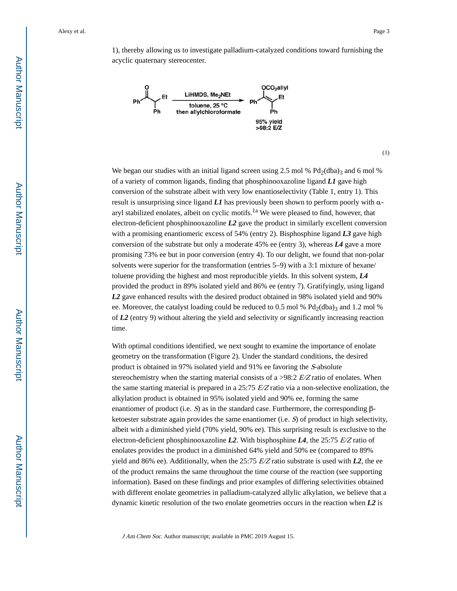1), thereby allowing us to investigate palladium-catalyzed conditions toward furnishing the acyclic quaternary stereocenter.



(1)

We began our studies with an initial ligand screen using 2.5 mol %  $Pd_2(dba)$ 3 and 6 mol % of a variety of common ligands, finding that phosphinooxazoline ligand *L1* gave high conversion of the substrate albeit with very low enantioselectivity (Table 1, entry 1). This result is unsurprising since ligand *L1* has previously been shown to perform poorly with αaryl stabilized enolates, albeit on cyclic motifs.<sup>1a</sup> We were pleased to find, however, that electron-deficient phosphinooxazoline *L2* gave the product in similarly excellent conversion with a promising enantiomeric excess of 54% (entry 2). Bisphosphine ligand *L3* gave high conversion of the substrate but only a moderate 45% ee (entry 3), whereas *L4* gave a more promising 73% ee but in poor conversion (entry 4). To our delight, we found that non-polar solvents were superior for the transformation (entries 5–9) with a 3:1 mixture of hexane/ toluene providing the highest and most reproducible yields. In this solvent system, *L4*  provided the product in 89% isolated yield and 86% ee (entry 7). Gratifyingly, using ligand *L2* gave enhanced results with the desired product obtained in 98% isolated yield and 90% ee. Moreover, the catalyst loading could be reduced to 0.5 mol %  $Pd_2(dba)$ <sub>3</sub> and 1.2 mol % of *L2* (entry 9) without altering the yield and selectivity or significantly increasing reaction time.

With optimal conditions identified, we next sought to examine the importance of enolate geometry on the transformation (Figure 2). Under the standard conditions, the desired product is obtained in 97% isolated yield and 91% ee favoring the S-absolute stereochemistry when the starting material consists of a >98:2  $E/Z$  ratio of enolates. When the same starting material is prepared in a 25:75  $E/Z$  ratio via a non-selective enolization, the alkylation product is obtained in 95% isolated yield and 90% ee, forming the same enantiomer of product (i.e. S) as in the standard case. Furthermore, the corresponding  $\beta$ ketoester substrate again provides the same enantiomer (i.e.  $S$ ) of product in high selectivity, albeit with a diminished yield (70% yield, 90% ee). This surprising result is exclusive to the electron-deficient phosphinooxazoline **L2**. With bisphosphine **L4**, the 25:75  $E/Z$  ratio of enolates provides the product in a diminished 64% yield and 50% ee (compared to 89% yield and 86% ee). Additionally, when the 25:75  $E/Z$  ratio substrate is used with **L2**, the ee of the product remains the same throughout the time course of the reaction (see supporting information). Based on these findings and prior examples of differing selectivities obtained with different enolate geometries in palladium-catalyzed allylic alkylation, we believe that a dynamic kinetic resolution of the two enolate geometries occurs in the reaction when *L2* is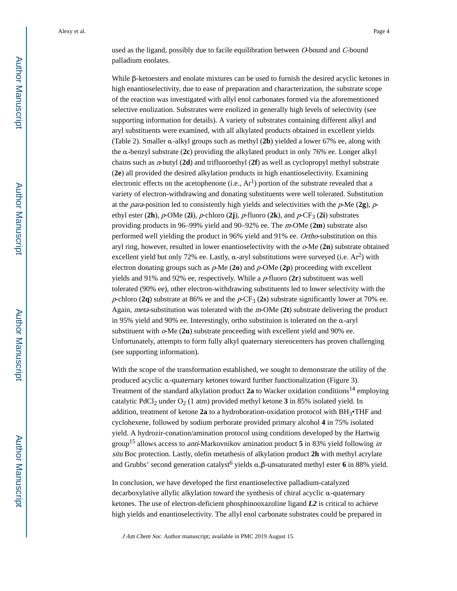used as the ligand, possibly due to facile equilibration between O-bound and C-bound palladium enolates.

While β-ketoesters and enolate mixtures can be used to furnish the desired acyclic ketones in high enantioselectivity, due to ease of preparation and characterization, the substrate scope of the reaction was investigated with allyl enol carbonates formed via the aforementioned selective enolization. Substrates were enolized in generally high levels of selectivity (see supporting information for details). A variety of substrates containing different alkyl and aryl substituents were examined, with all alkylated products obtained in excellent yields (Table 2). Smaller α-alkyl groups such as methyl (**2b**) yielded a lower 67% ee, along with the α-benzyl substrate (**2c**) providing the alkylated product in only 76% ee. Longer alkyl chains such as n-butyl (**2d**) and trifluoroethyl (**2f**) as well as cyclopropyl methyl substrate (**2e**) all provided the desired alkylation products in high enantioselectivity. Examining electronic effects on the acetophenone (i.e.,  $Ar<sup>1</sup>$ ) portion of the substrate revealed that a variety of electron-withdrawing and donating substituents were well tolerated. Substitution at the *para*-position led to consistently high yields and selectivities with the  $p$ -Me (2g),  $p$ ethyl ester  $(2h)$ ,  $p$ -OMe  $(2i)$ ,  $p$ -chloro  $(2j)$ ,  $p$ -fluoro  $(2k)$ , and  $p$ -CF<sub>3</sub>  $(2i)$  substrates providing products in 96–99% yield and 90–92% ee. The m-OMe (**2m**) substrate also performed well yielding the product in 96% yield and 91% ee. Ortho-substitution on this aryl ring, however, resulted in lower enantioselectivity with the o-Me (**2n**) substrate obtained excellent yield but only 72% ee. Lastly,  $\alpha$ -aryl substitutions were surveyed (i.e. Ar<sup>2</sup>) with electron donating groups such as p-Me (**2o**) and p-OMe (**2p**) proceeding with excellent yields and 91% and 92% ee, respectively. While a p-fluoro (**2r**) substituent was well tolerated (90% ee), other electron-withdrawing substituents led to lower selectivity with the p-chloro (2q) substrate at 86% ee and the  $p$ -CF<sub>3</sub> (2s) substrate significantly lower at 70% ee. Again, meta-substitution was tolerated with the m-OMe (**2t**) substrate delivering the product in 95% yield and 90% ee. Interestingly, ortho substituion is tolerated on the α-aryl substituent with o-Me (**2u**) substrate proceeding with excellent yield and 90% ee. Unfortunately, attempts to form fully alkyl quaternary stereocenters has proven challenging (see supporting information).

With the scope of the transformation established, we sought to demonstrate the utility of the produced acyclic α-quaternary ketones toward further functionalization (Figure 3). Treatment of the standard alkylation product **2a** to Wacker oxidation conditions14 employing catalytic PdCl<sub>2</sub> under  $O_2$  (1 atm) provided methyl ketone 3 in 85% isolated yield. In addition, treatment of ketone **2a** to a hydroboration-oxidation protocol with BH3•THF and cyclohexene, followed by sodium perborate provided primary alcohol **4** in 75% isolated yield. A hydrozir-conation/amination protocol using conditions developed by the Hartwig group15 allows access to anti-Markovnikov amination product **5** in 83% yield following in situ Boc protection. Lastly, olefin metathesis of alkylation product **2h** with methyl acrylate and Grubbs' second generation catalyst<sup>6</sup> yields α,β-unsaturated methyl ester 6 in 88% yield.

In conclusion, we have developed the first enantioselective palladium-catalyzed decarboxylative allylic alkylation toward the synthesis of chiral acyclic α-quaternary ketones. The use of electron-deficient phosphinooxazoline ligand *L2* is critical to achieve high yields and enantioselectivity. The allyl enol carbonate substrates could be prepared in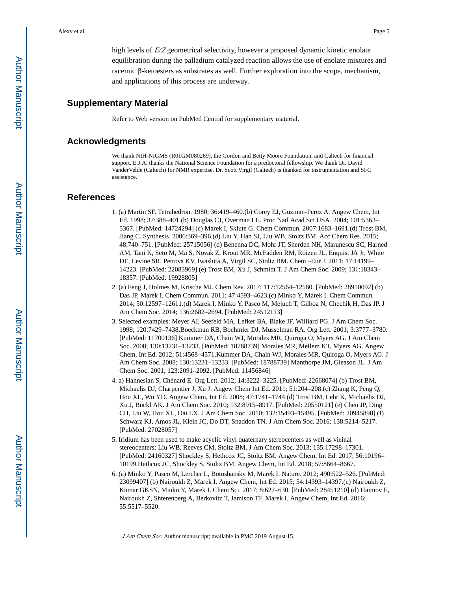high levels of  $E/Z$  geometrical selectivity, however a proposed dynamic kinetic enolate equilibration during the palladium catalyzed reaction allows the use of enolate mixtures and racemic β-ketoesters as substrates as well. Further exploration into the scope, mechanism, and applications of this process are underway.

#### **Supplementary Material**

Refer to Web version on PubMed Central for supplementary material.

#### **Acknowledgments**

We thank NIH-NIGMS (R01GM080269), the Gordon and Betty Moore Foundation, and Caltech for financial support. E.J.A. thanks the National Science Foundation for a predoctoral fellowship. We thank Dr. David VanderVelde (Caltech) for NMR expertise. Dr. Scott Virgil (Caltech) is thanked for instrumentation and SFC assistance.

#### **References**

- 1. (a) Martin SF. Tetrahedron. 1980; 36:419–460.(b) Corey EJ, Guzman-Perez A. Angew Chem, Int Ed. 1998; 37:388–401.(b) Douglas CJ, Overman LE. Proc Natl Acad Sci USA. 2004; 101:5363– 5367. [PubMed: 14724294] (c) Marek I, Sklute G. Chem Commun. 2007:1683–1691.(d) Trost BM, Jiang C. Synthesis. 2006:369–396.(d) Liu Y, Han SJ, Liu WB, Stoltz BM. Acc Chem Res. 2015; 48:740–751. [PubMed: 25715056] (d) Behenna DC, Mohr JT, Sherden NH, Marunescu SC, Harned AM, Tani K, Seto M, Ma S, Novak Z, Krout MR, McFadden RM, Roizen JL, Enquist JA Jr, White DE, Levine SR, Petrova KV, Iwashita A, Virgil SC, Stoltz BM. Chem –Eur J. 2011; 17:14199– 14223. [PubMed: 22083969] (e) Trost BM, Xu J, Schmidt T. J Am Chem Soc. 2009; 131:18343– 18357. [PubMed: 19928805]
- 2. (a) Feng J, Holmes M, Krische MJ. Chem Rev. 2017; 117:12564–12580. [PubMed: 28910092] (b) Das JP, Marek I. Chem Commun. 2011; 47:4593–4623.(c) Minko Y, Marek I. Chem Commun. 2014; 50:12597–12611.(d) Marek I, Minko Y, Pasco M, Mejuch T, Gilboa N, Chechik H, Das JP. J Am Chem Soc. 2014; 136:2682–2694. [PubMed: 24512113]
- 3. Selected examples: Meyer AI, Seefeld MA, Lefker BA, Blake JF, Williard PG. J Am Chem Soc. 1998; 120:7429–7438.Boeckman RB, Boehmler DJ, Musselman RA. Org Lett. 2001; 3:3777–3780. [PubMed: 11700136] Kummer DA, Chain WJ, Morales MR, Quiroga O, Myers AG. J Am Chem Soc. 2008; 130:13231–13233. [PubMed: 18788739] Morales MR, Mellem KT, Myers AG. Angew Chem, Int Ed. 2012; 51:4568–4571.Kummer DA, Chain WJ, Morales MR, Quiroga O, Myers AG. J Am Chem Soc. 2008; 130:13231–13233. [PubMed: 18788739] Manthorpe JM, Gleason JL. J Am Chem Soc. 2001; 123:2091–2092. [PubMed: 11456846]
- 4. a) Hannesian S, Chénard E. Org Lett. 2012; 14:3222–3225. [PubMed: 22668074] (b) Trost BM, Michaelis DJ, Charpentier J, Xu J. Angew Chem Int Ed. 2011; 51:204–208.(c) Zhang K, Peng Q, Hou XL, Wu YD. Angew Chem, Int Ed. 2008; 47:1741–1744.(d) Trost BM, Lehr K, Michaelis DJ, Xu J, Buckl AK. J Am Chem Soc. 2010; 132:8915–8917. [PubMed: 20550121] (e) Chen JP, Ding CH, Liu W, Hou XL, Dai LX. J Am Chem Soc. 2010; 132:15493–15495. [PubMed: 20945898] (f) Schwarz KJ, Amos JL, Klein JC, Do DT, Snaddon TN. J Am Chem Soc. 2016; 138:5214–5217. [PubMed: 27028057]
- 5. Iridium has been used to make acyclic vinyl quaternary stereocenters as well as vicinal stereocenters: Liu WB, Reeves CM, Stoltz BM. J Am Chem Soc. 2013; 135:17298–17301. [PubMed: 24160327] Shockley S, Hethcox JC, Stoltz BM. Angew Chem, Int Ed. 2017; 56:10196– 10199.Hethcox JC, Shockley S, Stoltz BM. Angew Chem, Int Ed. 2018; 57:8664–8667.
- 6. (a) Minko Y, Pasco M, Lercher L, Botoshansky M, Marek I. Nature. 2012; 490:522–526. [PubMed: 23099407] (b) Nairoukh Z, Marek I. Angew Chem, Int Ed. 2015; 54:14393–14397.(c) Nairoukh Z, Kumar GKSN, Minko Y, Marek I. Chem Sci. 2017; 8:627–630. [PubMed: 28451210] (d) Haimov E, Nairoukh Z, Shterenberg A, Berkovitz T, Jamison TF, Marek I. Angew Chem, Int Ed. 2016; 55:5517–5520.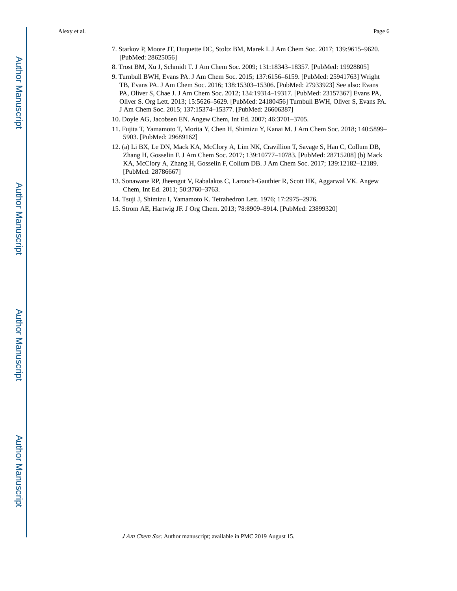- 7. Starkov P, Moore JT, Duquette DC, Stoltz BM, Marek I. J Am Chem Soc. 2017; 139:9615–9620. [PubMed: 28625056]
- 8. Trost BM, Xu J, Schmidt T. J Am Chem Soc. 2009; 131:18343–18357. [PubMed: 19928805]
- 9. Turnbull BWH, Evans PA. J Am Chem Soc. 2015; 137:6156–6159. [PubMed: 25941763] Wright TB, Evans PA. J Am Chem Soc. 2016; 138:15303–15306. [PubMed: 27933923] See also: Evans PA, Oliver S, Chae J. J Am Chem Soc. 2012; 134:19314–19317. [PubMed: 23157367] Evans PA, Oliver S. Org Lett. 2013; 15:5626–5629. [PubMed: 24180456] Turnbull BWH, Oliver S, Evans PA. J Am Chem Soc. 2015; 137:15374–15377. [PubMed: 26606387]
- 10. Doyle AG, Jacobsen EN. Angew Chem, Int Ed. 2007; 46:3701–3705.
- 11. Fujita T, Yamamoto T, Morita Y, Chen H, Shimizu Y, Kanai M. J Am Chem Soc. 2018; 140:5899– 5903. [PubMed: 29689162]
- 12. (a) Li BX, Le DN, Mack KA, McClory A, Lim NK, Cravillion T, Savage S, Han C, Collum DB, Zhang H, Gosselin F. J Am Chem Soc. 2017; 139:10777–10783. [PubMed: 28715208] (b) Mack KA, McClory A, Zhang H, Gosselin F, Collum DB. J Am Chem Soc. 2017; 139:12182–12189. [PubMed: 28786667]
- 13. Sonawane RP, Jheengut V, Rabalakos C, Larouch-Gauthier R, Scott HK, Aggarwal VK. Angew Chem, Int Ed. 2011; 50:3760–3763.
- 14. Tsuji J, Shimizu I, Yamamoto K. Tetrahedron Lett. 1976; 17:2975–2976.
- 15. Strom AE, Hartwig JF. J Org Chem. 2013; 78:8909–8914. [PubMed: 23899320]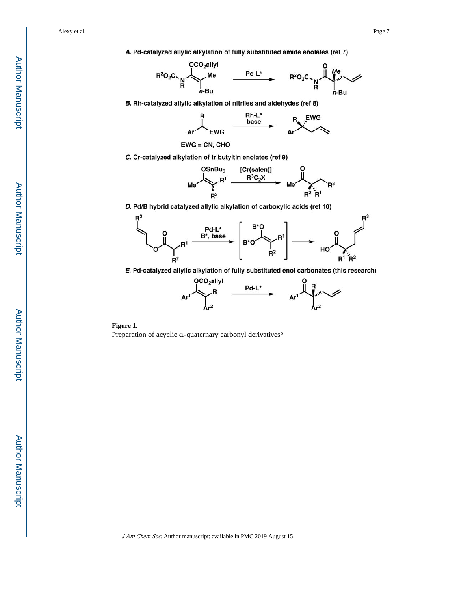A. Pd-catalyzed allylic alkylation of fully substituted amide enolates (ref 7)



B. Rh-catalyzed allylic alkylation of nitriles and aldehydes (ref 8)



 $EWG = CN, CHO$ 

C. Cr-catalyzed alkylation of tributyltin enolates (ref 9)



D. Pd/B hybrid catalyzed allylic alkylation of carboxylic acids (ref 10)



E. Pd-catalyzed allylic alkylation of fully substituted enol carbonates (this research)



**Figure 1.**  Preparation of acyclic  $\alpha$ -quaternary carbonyl derivatives<sup>5</sup>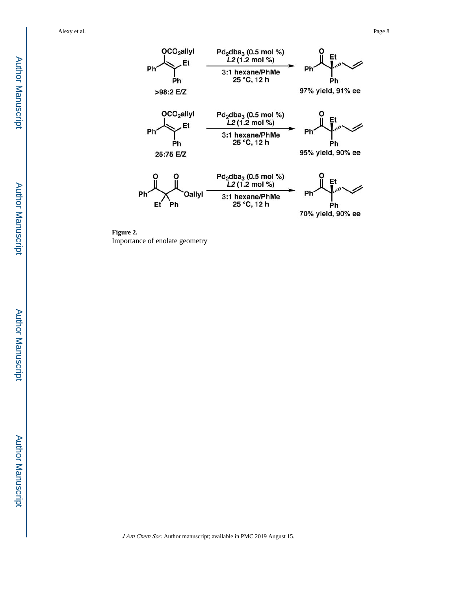



**Figure 2.**  Importance of enolate geometry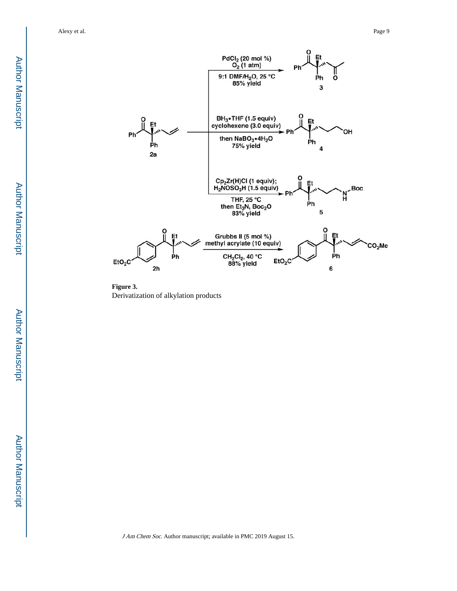

**Figure 3.**  Derivatization of alkylation products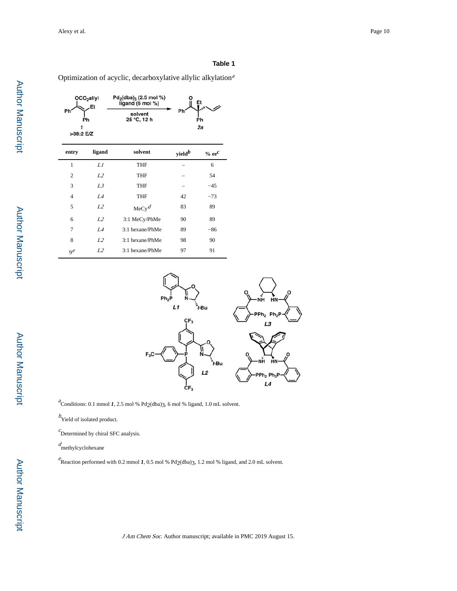#### **Table 1**

Optimization of acyclic, decarboxylative allylic alkylation<sup>a</sup>

| OCO <sub>2</sub> allyl<br>Et |                | $Pd_2(dba)_3$ (2.5 mol %)<br>ligand (6 mol %) | Et                 |              |
|------------------------------|----------------|-----------------------------------------------|--------------------|--------------|
| Ph<br>Ph<br>>98:2 E/Z        |                | solvent<br>25 °C, 12 h                        | Ph                 | Ph<br>2a     |
| entry                        | ligand         | solvent                                       | yield <sup>b</sup> | $\%$ ee $^c$ |
| 1                            | L1             | <b>THF</b>                                    |                    | 6            |
| $\overline{c}$               | L2             | THF                                           |                    | 54           |
| 3                            | L <sub>3</sub> | <b>THF</b>                                    |                    | $-45$        |
| 4                            | $I\mathcal{A}$ | THF                                           | 42                 | $-73$        |
| 5                            | L2             | MeCy <sup>d</sup>                             | 83                 | 89           |
| 6                            | L2             | 3:1 MeCy/PhMe                                 | 90                 | 89           |
| 7                            | $I\mathcal{A}$ | 3:1 hexane/PhMe                               | 89                 | $-86$        |
| 8                            | L <sub>2</sub> | 3:1 hexane/PhMe                               | 98                 | 90           |
| qe                           | L2             | 3:1 hexane/PhMe                               | 97                 | 91           |



 $a^2$ Conditions: 0.1 mmol *1*, 2.5 mol % Pd<sub>2</sub>(dba)3, 6 mol % ligand, 1.0 mL solvent.

 $b<sub>Y</sub>$  Yield of isolated product.

 $c$ Determined by chiral SFC analysis.

d methylcyclohexane

e Reaction performed with 0.2 mmol *1*, 0.5 mol % Pd<sub>2</sub>(dba)3, 1.2 mol % ligand, and 2.0 mL solvent.